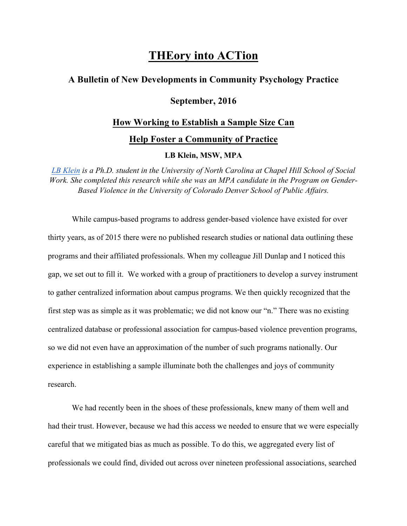# **THEory into ACTion**

## **A Bulletin of New Developments in Community Psychology Practice**

# **September, 2016**

## **How Working to Establish a Sample Size Can**

**Help Foster a Community of Practice**

#### **LB Klein, MSW, MPA**

*LB Klein is a Ph.D. student in the University of North Carolina at Chapel Hill School of Social Work. She completed this research while she was an MPA candidate in the Program on Gender-Based Violence in the University of Colorado Denver School of Public Affairs.*

While campus-based programs to address gender-based violence have existed for over thirty years, as of 2015 there were no published research studies or national data outlining these programs and their affiliated professionals. When my colleague Jill Dunlap and I noticed this gap, we set out to fill it. We worked with a group of practitioners to develop a survey instrument to gather centralized information about campus programs. We then quickly recognized that the first step was as simple as it was problematic; we did not know our "n." There was no existing centralized database or professional association for campus-based violence prevention programs, so we did not even have an approximation of the number of such programs nationally. Our experience in establishing a sample illuminate both the challenges and joys of community research.

We had recently been in the shoes of these professionals, knew many of them well and had their trust. However, because we had this access we needed to ensure that we were especially careful that we mitigated bias as much as possible. To do this, we aggregated every list of professionals we could find, divided out across over nineteen professional associations, searched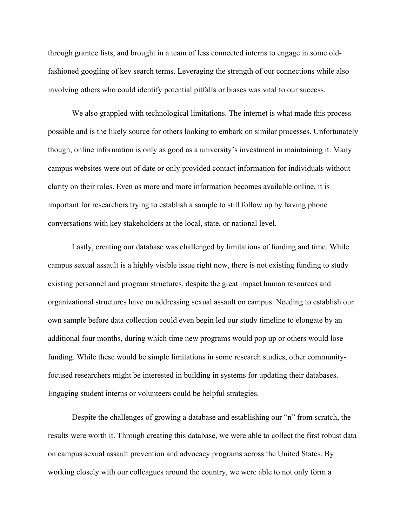through grantee lists, and brought in a team of less connected interns to engage in some oldfashioned googling of key search terms. Leveraging the strength of our connections while also involving others who could identify potential pitfalls or biases was vital to our success.

We also grappled with technological limitations. The internet is what made this process possible and is the likely source for others looking to embark on similar processes. Unfortunately though, online information is only as good as a university's investment in maintaining it. Many campus websites were out of date or only provided contact information for individuals without clarity on their roles. Even as more and more information becomes available online, it is important for researchers trying to establish a sample to still follow up by having phone conversations with key stakeholders at the local, state, or national level.

Lastly, creating our database was challenged by limitations of funding and time. While campus sexual assault is a highly visible issue right now, there is not existing funding to study existing personnel and program structures, despite the great impact human resources and organizational structures have on addressing sexual assault on campus. Needing to establish our own sample before data collection could even begin led our study timeline to elongate by an additional four months, during which time new programs would pop up or others would lose funding. While these would be simple limitations in some research studies, other communityfocused researchers might be interested in building in systems for updating their databases. Engaging student interns or volunteers could be helpful strategies.

Despite the challenges of growing a database and establishing our "n" from scratch, the results were worth it. Through creating this database, we were able to collect the first robust data on campus sexual assault prevention and advocacy programs across the United States. By working closely with our colleagues around the country, we were able to not only form a